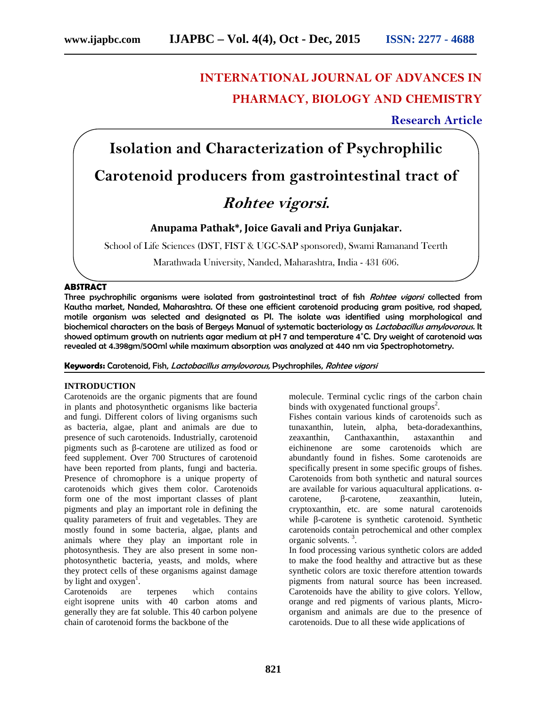# **INTERNATIONAL JOURNAL OF ADVANCES IN PHARMACY, BIOLOGY AND CHEMISTRY**

# **Research Article**

**Isolation and Characterization of Psychrophilic Carotenoid producers from gastrointestinal tract of**

# *Rohtee vigorsi***.**

# **Anupama Pathak\*, Joice Gavali and Priya Gunjakar.**

School of Life Sciences (DST, FIST & UGC-SAP sponsored), Swami Ramanand Teerth

Marathwada University, Nanded, Maharashtra, India - 431 606.

### **ABSTRACT**

Three psychrophilic organisms were isolated from gastrointestinal tract of fish *Rohtee vigorsi* collected from Kautha market, Nanded, Maharashtra. Of these one efficient carotenoid producing gram positive, rod shaped, motile organism was selected and designated as PI. The isolate was identified using morphological and biochemical characters on the basis of Bergeys Manual of systematic bacteriology as *Lactobacillus amylovorous.* It showed optimum growth on nutrients agar medium at pH 7 and temperature 4˚C. Dry weight of carotenoid was revealed at 4.398gm/500ml while maximum absorption was analyzed at 440 nm via Spectrophotometry.

**Keywords:** Carotenoid, Fish, *Lactobacillus amylovorous,* Psychrophiles, *Rohtee vigorsi*

### **INTRODUCTION**

Carotenoids are the organic pigments that are found in plants and photosynthetic organisms like bacteria and fungi. Different colors of living organisms such as bacteria, algae, plant and animals are due to presence of such carotenoids. Industrially, carotenoid pigments such as -carotene are utilized as food or feed supplement. Over 700 Structures of carotenoid have been reported from plants, fungi and bacteria. Presence of chromophore is a unique property of carotenoids which gives them color. Carotenoids form one of the most important classes of plant pigments and play an important role in defining the quality parameters of fruit and vegetables. They are mostly found in some bacteria, algae, plants and animals where they play an important role in photosynthesis. They are also present in some non photosynthetic bacteria, yeasts, and molds, where they protect cells of these organisms against damage by light and  $oxygen<sup>1</sup>$ .

Carotenoids are terpenes which contains eight isoprene units with 40 carbon atoms and generally they are fat soluble. This 40 carbon polyene chain of carotenoid forms the backbone of the

molecule. Terminal cyclic rings of the carbon chain binds with oxygenated functional groups<sup>2</sup>.

Fishes contain various kinds of carotenoids such as tunaxanthin, lutein, alpha, beta-doradexanthins, Canthaxanthin, astaxanthin and eichinenone are some carotenoids which are abundantly found in fishes. Some carotenoids are specifically present in some specific groups of fishes. Carotenoids from both synthetic and natural sources are available for various aquacultural applications. carotene,  $\alpha$ -carotene, zeaxanthin, lutein, cryptoxanthin, etc. are some natural carotenoids while -carotene is synthetic carotenoid. Synthetic carotenoids contain petrochemical and other complex organic solvents. <sup>3</sup> .

In food processing various synthetic colors are added to make the food healthy and attractive but as these synthetic colors are toxic therefore attention towards pigments from natural source has been increased. Carotenoids have the ability to give colors. Yellow, orange and red pigments of various plants, Micro organism and animals are due to the presence of carotenoids. Due to all these wide applications of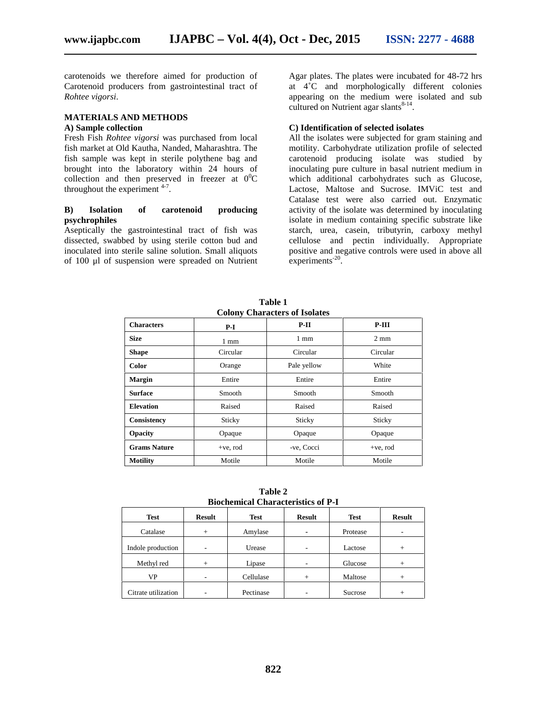carotenoids we therefore aimed for production of Carotenoid producers from gastrointestinal tract of *Rohtee vigorsi*.

## **MATERIALS AND METHODS**

# **A) Sample collection**

Fresh Fish *Rohtee vigorsi* was purchased from local fish market at Old Kautha, Nanded, Maharashtra. The fish sample was kept in sterile polythene bag and brought into the laboratory within 24 hours of collection and then preserved in freezer at  $0^0C$ throughout the experiment  $4-7$ .

#### **B) Isolation of carotenoid producing psychrophiles**

Aseptically the gastrointestinal tract of fish was dissected, swabbed by using sterile cotton bud and inoculated into sterile saline solution. Small aliquots of 100 μl of suspension were spreaded on Nutrient Agar plates. The plates were incubated for 48-72 hrs at 4˚C and morphologically different colonies appearing on the medium were isolated and sub cultured on Nutrient agar slants $8-14$ . .

# **C) Identification of selected isolates**

<sup>0</sup>C which additional carbohydrates such as Glucose, All the isolates were subjected for gram staining and motility. Carbohydrate utilization profile of selected carotenoid producing isolate was studied by inoculating pure culture in basal nutrient medium in Lactose, Maltose and Sucrose. IMViC test and Catalase test were also carried out. Enzymatic activity of the isolate was determined by inoculating isolate in medium containing specific substrate like starch, urea, casein, tributyrin, carboxy methyl cellulose and pectin individually. Appropriate positive and negative controls were used in above all experiments<sup>-20</sup>.

**Table 1 Colony Characters of Isolates**

| <b>0000000</b><br>Chain acter of <i>room</i> |                |                |                |  |  |  |  |
|----------------------------------------------|----------------|----------------|----------------|--|--|--|--|
| <b>Characters</b>                            | $P-I$          | $P-II$         | $P-III$        |  |  |  |  |
| <b>Size</b>                                  | $1 \text{ mm}$ | $1 \text{ mm}$ | $2 \text{ mm}$ |  |  |  |  |
| <b>Shape</b>                                 | Circular       | Circular       | Circular       |  |  |  |  |
| <b>Color</b>                                 | Orange         | Pale yellow    | White          |  |  |  |  |
| <b>Margin</b>                                | Entire         | Entire         | Entire         |  |  |  |  |
| <b>Surface</b>                               | Smooth         | Smooth         | Smooth         |  |  |  |  |
| <b>Elevation</b>                             | Raised         | Raised         | Raised         |  |  |  |  |
| Consistency                                  | Sticky         | Sticky         | Sticky         |  |  |  |  |
| <b>Opacity</b>                               | Opaque         | Opaque         | Opaque         |  |  |  |  |
| <b>Grams Nature</b>                          | $+ve, rod$     | -ve, Cocci     | $+ve, rod$     |  |  |  |  |
| <b>Motility</b>                              | Motile         | Motile         | Motile         |  |  |  |  |

**Table 2 Biochemical Characteristics of P-I**

| <b>Test</b>         | <b>Result</b> | <b>Test</b> | <b>Result</b>            | <b>Test</b> | <b>Result</b> |
|---------------------|---------------|-------------|--------------------------|-------------|---------------|
| Catalase            | $+$           | Amylase     | $\overline{\phantom{0}}$ | Protease    | ۰             |
| Indole production   | ۰             | Urease      | ٠                        | Lactose     | $^{+}$        |
| Methyl red          | $+$           | Lipase      | -                        | Glucose     | $^+$          |
| VP                  | ۰             | Cellulase   | $+$                      | Maltose     | $^{+}$        |
| Citrate utilization |               | Pectinase   |                          | Sucrose     |               |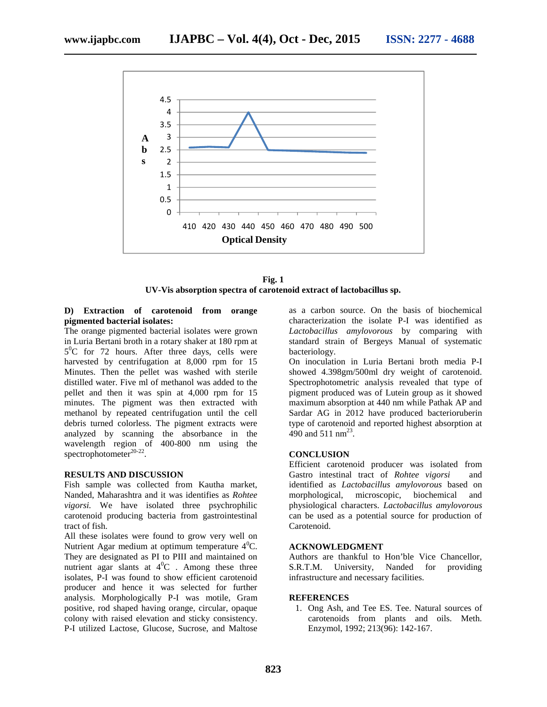

**Fig. 1 UV-Vis absorption spectra of carotenoid extract of lactobacillus sp.**

# **D) Extraction of carotenoid from orange pigmented bacterial isolates:**

The orange pigmented bacterial isolates were grown in Luria Bertani broth in a rotary shaker at 180 rpm at 5 <sup>0</sup>C for 72 hours. After three days, cells were harvested by centrifugation at 8,000 rpm for 15 Minutes. Then the pellet was washed with sterile distilled water. Five ml of methanol was added to the pellet and then it was spin at 4,000 rpm for 15 minutes. The pigment was then extracted with methanol by repeated centrifugation until the cell debris turned colorless. The pigment extracts were analyzed by scanning the absorbance in the wavelength region of 400-800 nm using the spectrophotometer<sup>20-22</sup>.

#### **RESULTS AND DISCUSSION**

Fish sample was collected from Kautha market, Nanded, Maharashtra and it was identifies as *Rohtee vigorsi.* We have isolated three psychrophilic carotenoid producing bacteria from gastrointestinal tract of fish.

All these isolates were found to grow very well on Nutrient Agar medium at optimum temperature  $4^0C$ . They are designated as PI to PIII and maintained on nutrient agar slants at  $4^0C$ . Among these three isolates, P-I was found to show efficient carotenoid producer and hence it was selected for further analysis. Morphologically P-I was motile, Gram positive, rod shaped having orange, circular, opaque colony with raised elevation and sticky consistency. P-I utilized Lactose, Glucose, Sucrose, and Maltose

as a carbon source. On the basis of biochemical characterization the isolate P-I was identified as *Lactobacillus amylovorous* by comparing with standard strain of Bergeys Manual of systematic bacteriology.

On inoculation in Luria Bertani broth media P-I showed 4.398gm/500ml dry weight of carotenoid. Spectrophotometric analysis revealed that type of pigment produced was of Lutein group as it showed maximum absorption at 440 nm while Pathak AP and Sardar AG in 2012 have produced bacterioruberin type of carotenoid and reported highest absorption at 490 and 511  $\text{nm}^{23}$ .

#### **CONCLUSION**

Efficient carotenoid producer was isolated from Gastro intestinal tract of *Rohtee vigorsi* and identified as *Lactobacillus amylovorous* based on morphological, microscopic, biochemical and physiological characters. *Lactobacillus amylovorous* can be used as a potential source for production of Carotenoid.

#### **ACKNOWLEDGMENT**

Authors are thankful to Hon'ble Vice Chancellor, S.R.T.M. University, Nanded for providing infrastructure and necessary facilities.

#### **REFERENCES**

1. Ong Ash, and Tee ES. Tee. Natural sources of carotenoids from plants and oils. Meth. Enzymol, 1992; 213(96): 142-167.